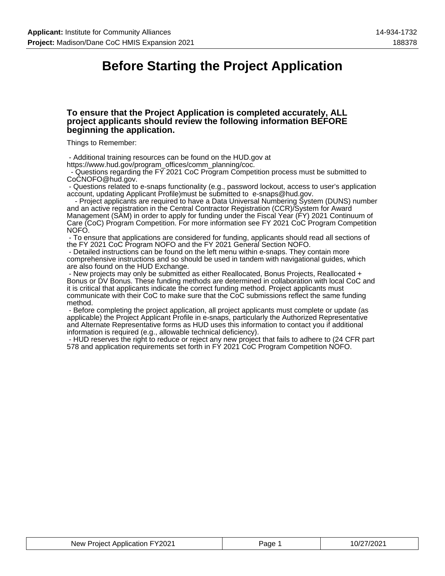## **Before Starting the Project Application**

### **To ensure that the Project Application is completed accurately, ALL project applicants should review the following information BEFORE beginning the application.**

Things to Remember:

- Additional training resources can be found on the HUD.gov at

https://www.hud.gov/program\_offices/comm\_planning/coc.

 - Questions regarding the FY 2021 CoC Program Competition process must be submitted to CoCNOFO@hud.gov.

 - Questions related to e-snaps functionality (e.g., password lockout, access to user's application account, updating Applicant Profile)must be submitted to e-snaps@hud.gov.

 - Project applicants are required to have a Data Universal Numbering System (DUNS) number and an active registration in the Central Contractor Registration (CCR)/System for Award Management (SAM) in order to apply for funding under the Fiscal Year (FY) 2021 Continuum of Care (CoC) Program Competition. For more information see FY 2021 CoC Program Competition NOFO.

 - To ensure that applications are considered for funding, applicants should read all sections of the FY 2021 CoC Program NOFO and the FY 2021 General Section NOFO.

 - Detailed instructions can be found on the left menu within e-snaps. They contain more comprehensive instructions and so should be used in tandem with navigational guides, which are also found on the HUD Exchange.

 - New projects may only be submitted as either Reallocated, Bonus Projects, Reallocated + Bonus or DV Bonus. These funding methods are determined in collaboration with local CoC and it is critical that applicants indicate the correct funding method. Project applicants must communicate with their CoC to make sure that the CoC submissions reflect the same funding method.

 - Before completing the project application, all project applicants must complete or update (as applicable) the Project Applicant Profile in e-snaps, particularly the Authorized Representative and Alternate Representative forms as HUD uses this information to contact you if additional information is required (e.g., allowable technical deficiency).

 - HUD reserves the right to reduce or reject any new project that fails to adhere to (24 CFR part 578 and application requirements set forth in FY 2021 CoC Program Competition NOFO.

| FY2021<br>Application<br><b>New</b><br>Proiect | aɑe | $0^{\prime}$<br>202. |
|------------------------------------------------|-----|----------------------|
|------------------------------------------------|-----|----------------------|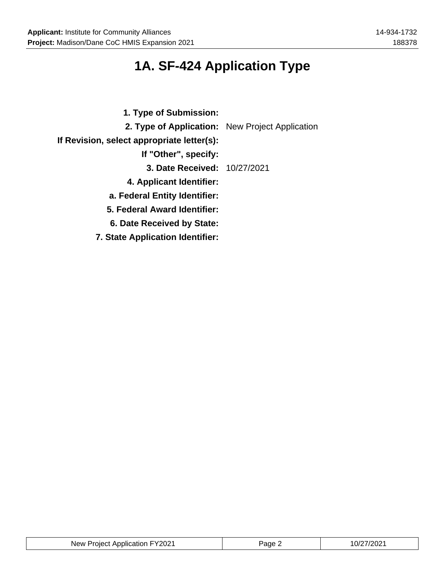## **1A. SF-424 Application Type**

| 1. Type of Submission:                          |  |
|-------------------------------------------------|--|
| 2. Type of Application: New Project Application |  |
| If Revision, select appropriate letter(s):      |  |
| If "Other", specify:                            |  |
| 3. Date Received: 10/27/2021                    |  |
| 4. Applicant Identifier:                        |  |
| a. Federal Entity Identifier:                   |  |
| 5. Federal Award Identifier:                    |  |
| 6. Date Received by State:                      |  |
| <b>7. State Application Identifier:</b>         |  |

| New Project Application FY2021 | Page | 10/27/2021<br>. .<br>_____ |
|--------------------------------|------|----------------------------|
|--------------------------------|------|----------------------------|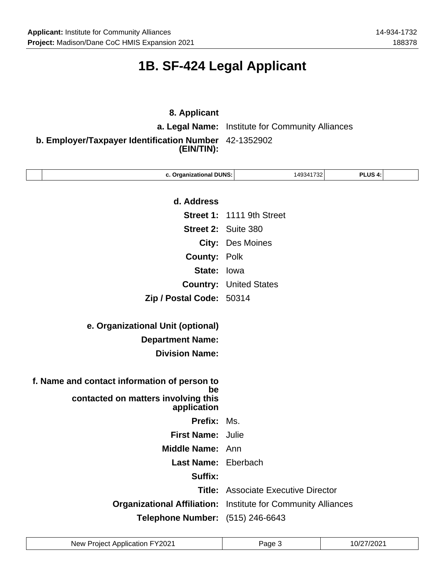## **1B. SF-424 Legal Applicant**

## **8. Applicant**

**a. Legal Name:** Institute for Community Alliances

**b. Employer/Taxpayer Identification Number** 42-1352902 **(EIN/TIN):**

| c. Organizational DUNS:                                              | 149341732                                  | PLUS 4: |  |
|----------------------------------------------------------------------|--------------------------------------------|---------|--|
|                                                                      |                                            |         |  |
| d. Address                                                           |                                            |         |  |
|                                                                      | Street 1: 1111 9th Street                  |         |  |
|                                                                      | <b>Street 2: Suite 380</b>                 |         |  |
|                                                                      | <b>City: Des Moines</b>                    |         |  |
| <b>County: Polk</b>                                                  |                                            |         |  |
| State: lowa                                                          |                                            |         |  |
|                                                                      | <b>Country: United States</b>              |         |  |
| Zip / Postal Code: 50314                                             |                                            |         |  |
|                                                                      |                                            |         |  |
| e. Organizational Unit (optional)                                    |                                            |         |  |
| <b>Department Name:</b>                                              |                                            |         |  |
| <b>Division Name:</b>                                                |                                            |         |  |
|                                                                      |                                            |         |  |
| f. Name and contact information of person to<br>be                   |                                            |         |  |
| contacted on matters involving this<br>application                   |                                            |         |  |
| Prefix:                                                              | Ms.                                        |         |  |
| <b>First Name: Julie</b>                                             |                                            |         |  |
| Middle Name: Ann                                                     |                                            |         |  |
| Last Name: Eberbach                                                  |                                            |         |  |
| Suffix:                                                              |                                            |         |  |
|                                                                      | <b>Title:</b> Associate Executive Director |         |  |
| <b>Organizational Affiliation:</b> Institute for Community Alliances |                                            |         |  |
| Telephone Number: (515) 246-6643                                     |                                            |         |  |
|                                                                      |                                            |         |  |

| New Project Application FY2021 | Page : | 10/27/2021 |
|--------------------------------|--------|------------|
|--------------------------------|--------|------------|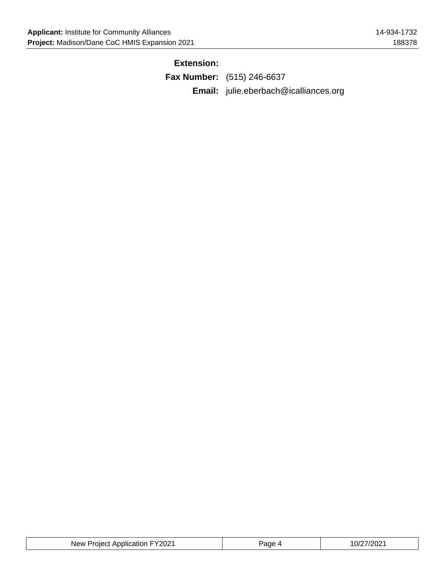## **Extension:**

| <b>Fax Number:</b> (515) 246-6637            |
|----------------------------------------------|
| <b>Email:</b> julie.eberbach@icalliances.org |

| New Project Application FY2021 | Page 4 | 10/27/2021 |
|--------------------------------|--------|------------|
|--------------------------------|--------|------------|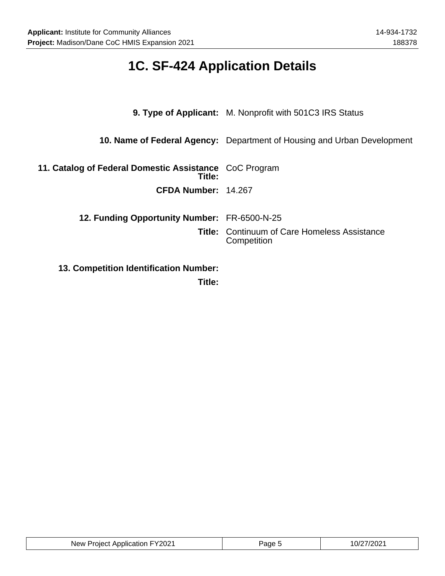## **1C. SF-424 Application Details**

|                                                                  | <b>9. Type of Applicant:</b> M. Nonprofit with 501C3 IRS Status         |  |
|------------------------------------------------------------------|-------------------------------------------------------------------------|--|
|                                                                  | 10. Name of Federal Agency: Department of Housing and Urban Development |  |
| 11. Catalog of Federal Domestic Assistance CoC Program<br>Title: |                                                                         |  |
| CFDA Number: 14.267                                              |                                                                         |  |
| 12. Funding Opportunity Number: FR-6500-N-25                     |                                                                         |  |
|                                                                  | <b>Title: Continuum of Care Homeless Assistance</b><br>Competition      |  |
| <b>13. Competition Identification Number:</b>                    |                                                                         |  |

**Title:**

| FY2021<br>: Application<br><b>New</b><br>Project<br>______ | Pane | ∼U∠ |
|------------------------------------------------------------|------|-----|
|                                                            |      |     |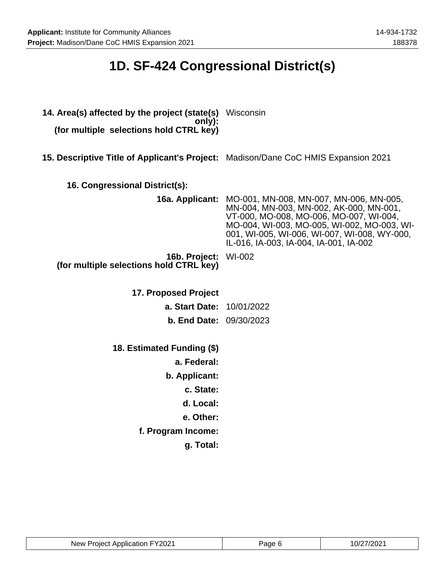## **1D. SF-424 Congressional District(s)**

| 14. Area(s) affected by the project (state(s) Wisconsin<br>only):<br>(for multiple selections hold CTRL key) |                                                                                                                                                                                                                                                                                               |
|--------------------------------------------------------------------------------------------------------------|-----------------------------------------------------------------------------------------------------------------------------------------------------------------------------------------------------------------------------------------------------------------------------------------------|
| 15. Descriptive Title of Applicant's Project: Madison/Dane CoC HMIS Expansion 2021                           |                                                                                                                                                                                                                                                                                               |
| 16. Congressional District(s):                                                                               |                                                                                                                                                                                                                                                                                               |
|                                                                                                              | <b>16a. Applicant:</b> MO-001, MN-008, MN-007, MN-006, MN-005,<br>MN-004, MN-003, MN-002, AK-000, MN-001,<br>VT-000, MO-008, MO-006, MO-007, WI-004,<br>MO-004, WI-003, MO-005, WI-002, MO-003, WI-<br>001, WI-005, WI-006, WI-007, WI-008, WY-000,<br>IL-016, IA-003, IA-004, IA-001, IA-002 |
| 16b. Project: WI-002<br>(for multiple selections hold CTRL key)                                              |                                                                                                                                                                                                                                                                                               |
| 17. Proposed Project                                                                                         |                                                                                                                                                                                                                                                                                               |
| a. Start Date: 10/01/2022                                                                                    |                                                                                                                                                                                                                                                                                               |
| <b>b. End Date: 09/30/2023</b>                                                                               |                                                                                                                                                                                                                                                                                               |
| 18. Estimated Funding (\$)                                                                                   |                                                                                                                                                                                                                                                                                               |
| a. Federal:                                                                                                  |                                                                                                                                                                                                                                                                                               |
| b. Applicant:                                                                                                |                                                                                                                                                                                                                                                                                               |
| c. State:                                                                                                    |                                                                                                                                                                                                                                                                                               |
| d. Local:                                                                                                    |                                                                                                                                                                                                                                                                                               |
| e. Other:                                                                                                    |                                                                                                                                                                                                                                                                                               |
| f. Program Income:                                                                                           |                                                                                                                                                                                                                                                                                               |
| g. Total:                                                                                                    |                                                                                                                                                                                                                                                                                               |

| FY2021<br>New Project Application | aue | /202<br>. <i></i> |
|-----------------------------------|-----|-------------------|
|-----------------------------------|-----|-------------------|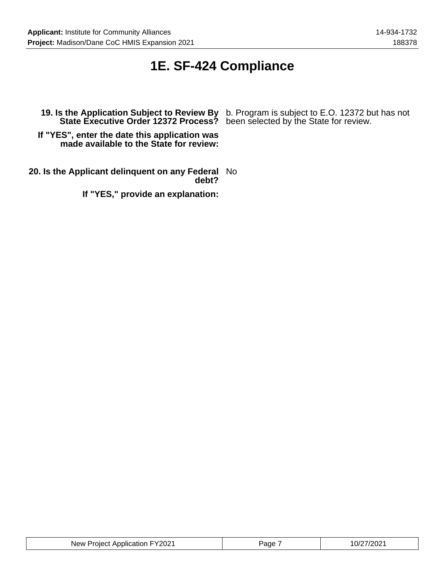## **1E. SF-424 Compliance**

**If "YES", enter the date this application was made available to the State for review:**

**20. Is the Applicant delinquent on any Federal** No **debt?**

**If "YES," provide an explanation:**

**19. Is the Application Subject to Review By** b. Program is subject to E.O. 12372 but has not **State Executive Order 12372 Process?** been selected by the State for review.

| New Project Application FY2021 | Page | 10/27/2021 |
|--------------------------------|------|------------|
|--------------------------------|------|------------|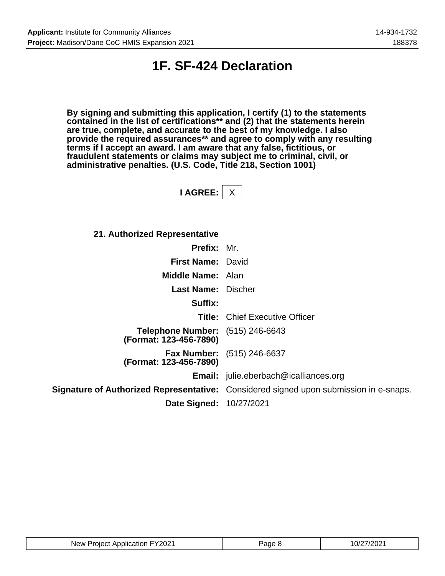## **1F. SF-424 Declaration**

**By signing and submitting this application, I certify (1) to the statements contained in the list of certifications\*\* and (2) that the statements herein are true, complete, and accurate to the best of my knowledge. I also provide the required assurances\*\* and agree to comply with any resulting terms if I accept an award. I am aware that any false, fictitious, or fraudulent statements or claims may subject me to criminal, civil, or administrative penalties. (U.S. Code, Title 218, Section 1001)**

**I AGREE:** X

**21. Authorized Representative**

| Prefix: Mr.                                                       |                                                                                       |
|-------------------------------------------------------------------|---------------------------------------------------------------------------------------|
| <b>First Name: David</b>                                          |                                                                                       |
| <b>Middle Name: Alan</b>                                          |                                                                                       |
| <b>Last Name: Discher</b>                                         |                                                                                       |
| Suffix:                                                           |                                                                                       |
|                                                                   | <b>Title:</b> Chief Executive Officer                                                 |
| <b>Telephone Number:</b> (515) 246-6643<br>(Format: 123-456-7890) |                                                                                       |
| (Format: 123-456-7890)                                            | <b>Fax Number:</b> (515) 246-6637                                                     |
|                                                                   | <b>Email:</b> julie.eberbach@icalliances.org                                          |
|                                                                   | Signature of Authorized Representative: Considered signed upon submission in e-snaps. |
| <b>Date Signed: 10/27/2021</b>                                    |                                                                                       |

| New Project Application FY2021 | Page 8 | 10/27/2021 |
|--------------------------------|--------|------------|
|--------------------------------|--------|------------|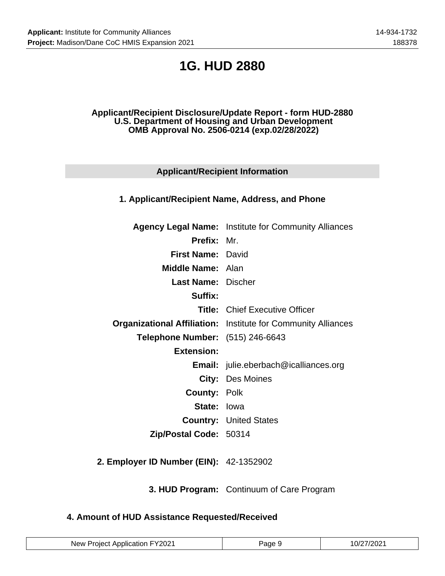## **1G. HUD 2880**

### **Applicant/Recipient Disclosure/Update Report - form HUD-2880 U.S. Department of Housing and Urban Development OMB Approval No. 2506-0214 (exp.02/28/2022)**

## **Applicant/Recipient Information**

## **1. Applicant/Recipient Name, Address, and Phone**

|                                         | <b>Agency Legal Name:</b> Institute for Community Alliances          |
|-----------------------------------------|----------------------------------------------------------------------|
| <b>Prefix: Mr.</b>                      |                                                                      |
| <b>First Name: David</b>                |                                                                      |
| <b>Middle Name: Alan</b>                |                                                                      |
| <b>Last Name:</b> Discher               |                                                                      |
| Suffix:                                 |                                                                      |
|                                         | <b>Title:</b> Chief Executive Officer                                |
|                                         | <b>Organizational Affiliation:</b> Institute for Community Alliances |
| <b>Telephone Number:</b> (515) 246-6643 |                                                                      |
| <b>Extension:</b>                       |                                                                      |
|                                         | <b>Email:</b> julie.eberbach@icalliances.org                         |
|                                         | <b>City: Des Moines</b>                                              |
| <b>County: Polk</b>                     |                                                                      |
| <b>State: lowa</b>                      |                                                                      |
|                                         | <b>Country: United States</b>                                        |
| Zip/Postal Code: 50314                  |                                                                      |
|                                         |                                                                      |

**2. Employer ID Number (EIN):** 42-1352902

**3. HUD Program:** Continuum of Care Program

### **4. Amount of HUD Assistance Requested/Received**

| New Project Application FY2021 | Page 9 | 10/27/2021 |
|--------------------------------|--------|------------|
|--------------------------------|--------|------------|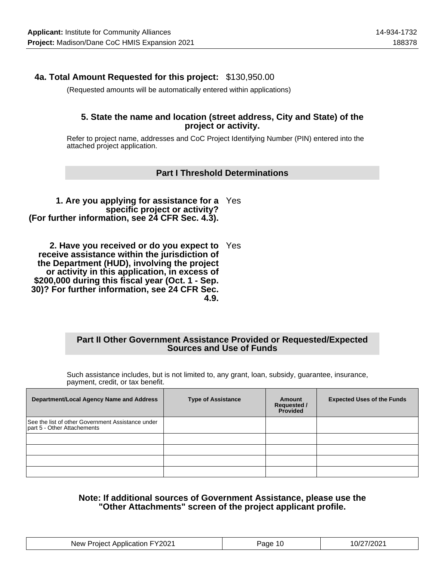## **4a. Total Amount Requested for this project:** \$130,950.00

(Requested amounts will be automatically entered within applications)

### **5. State the name and location (street address, City and State) of the project or activity.**

Refer to project name, addresses and CoC Project Identifying Number (PIN) entered into the attached project application.

### **Part I Threshold Determinations**

**1. Are you applying for assistance for a** Yes **specific project or activity? (For further information, see 24 CFR Sec. 4.3).**

**2. Have you received or do you expect to** Yes **receive assistance within the jurisdiction of the Department (HUD), involving the project or activity in this application, in excess of \$200,000 during this fiscal year (Oct. 1 - Sep. 30)? For further information, see 24 CFR Sec. 4.9.**

### **Part II Other Government Assistance Provided or Requested/Expected Sources and Use of Funds**

Such assistance includes, but is not limited to, any grant, loan, subsidy, guarantee, insurance, payment, credit, or tax benefit.

| <b>Department/Local Agency Name and Address</b>                                  | <b>Type of Assistance</b> | Amount<br><b>Requested /</b><br>Provided | <b>Expected Uses of the Funds</b> |
|----------------------------------------------------------------------------------|---------------------------|------------------------------------------|-----------------------------------|
| See the list of other Government Assistance under<br>part 5 - Other Attachements |                           |                                          |                                   |
|                                                                                  |                           |                                          |                                   |
|                                                                                  |                           |                                          |                                   |
|                                                                                  |                           |                                          |                                   |
|                                                                                  |                           |                                          |                                   |

### **Note: If additional sources of Government Assistance, please use the "Other Attachments" screen of the project applicant profile.**

| New Project Application FY2021 | Page 10 | 10/27/2021 |
|--------------------------------|---------|------------|
|--------------------------------|---------|------------|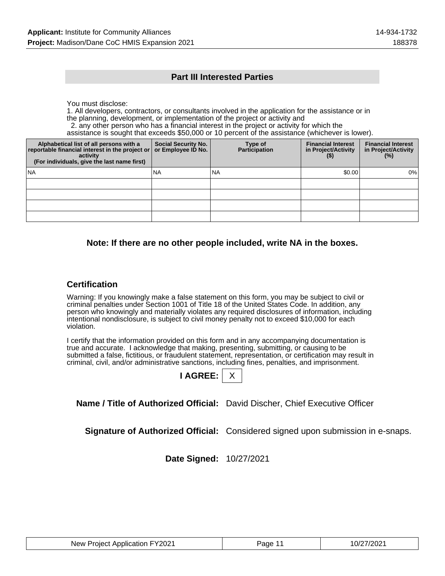### **Part III Interested Parties**

You must disclose:

1. All developers, contractors, or consultants involved in the application for the assistance or in the planning, development, or implementation of the project or activity and

2. any other person who has a financial interest in the project or activity for which the

assistance is sought that exceeds \$50,000 or 10 percent of the assistance (whichever is lower).

| Alphabetical list of all persons with a<br>reportable financial interest in the project or<br>activity<br>(For individuals, give the last name first) | <b>Social Security No.</b><br>or Employee ID No. | Type of<br><b>Participation</b> | <b>Financial Interest</b><br>in Project/Activity<br>$($ \$) | <b>Financial Interest</b><br>in Project/Activity<br>$(\%)$ |
|-------------------------------------------------------------------------------------------------------------------------------------------------------|--------------------------------------------------|---------------------------------|-------------------------------------------------------------|------------------------------------------------------------|
| l NA                                                                                                                                                  | <b>NA</b>                                        | INA                             | \$0.00                                                      | 0%                                                         |
|                                                                                                                                                       |                                                  |                                 |                                                             |                                                            |
|                                                                                                                                                       |                                                  |                                 |                                                             |                                                            |
|                                                                                                                                                       |                                                  |                                 |                                                             |                                                            |
|                                                                                                                                                       |                                                  |                                 |                                                             |                                                            |

### **Note: If there are no other people included, write NA in the boxes.**

### **Certification**

Warning: If you knowingly make a false statement on this form, you may be subject to civil or criminal penalties under Section 1001 of Title 18 of the United States Code. In addition, any person who knowingly and materially violates any required disclosures of information, including intentional nondisclosure, is subject to civil money penalty not to exceed \$10,000 for each violation.

I certify that the information provided on this form and in any accompanying documentation is true and accurate. I acknowledge that making, presenting, submitting, or causing to be submitted a false, fictitious, or fraudulent statement, representation, or certification may result in criminal, civil, and/or administrative sanctions, including fines, penalties, and imprisonment.

**Name / Title of Authorized Official:** David Discher, Chief Executive Officer

**Signature of Authorized Official:** Considered signed upon submission in e-snaps.

**Date Signed:** 10/27/2021

| New Project Application FY2021 | Page 11 | 10/27/2021 |
|--------------------------------|---------|------------|
|--------------------------------|---------|------------|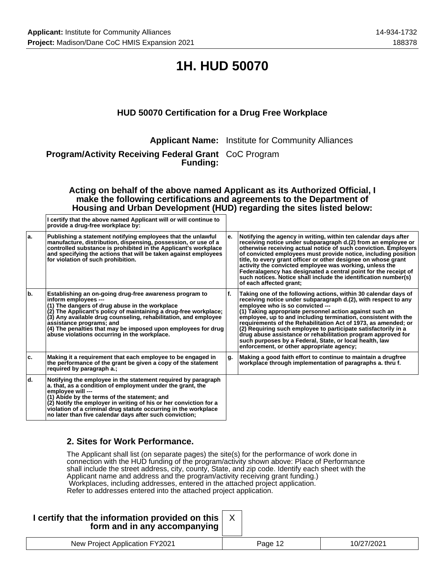## **1H. HUD 50070**

## **HUD 50070 Certification for a Drug Free Workplace**

**Applicant Name:** Institute for Community Alliances

**Program/Activity Receiving Federal Grant** CoC Program **Funding:**

**Acting on behalf of the above named Applicant as its Authorized Official, I make the following certifications and agreements to the Department of Housing and Urban Development (HUD) regarding the sites listed below:**

|     | I certify that the above named Applicant will or will continue to<br>provide a drug-free workplace by:                                                                                                                                                                                                                                                                                                                |    |                                                                                                                                                                                                                                                                                                                                                                                                                                                                                                                                                                                                                |
|-----|-----------------------------------------------------------------------------------------------------------------------------------------------------------------------------------------------------------------------------------------------------------------------------------------------------------------------------------------------------------------------------------------------------------------------|----|----------------------------------------------------------------------------------------------------------------------------------------------------------------------------------------------------------------------------------------------------------------------------------------------------------------------------------------------------------------------------------------------------------------------------------------------------------------------------------------------------------------------------------------------------------------------------------------------------------------|
| la. | Publishing a statement notifying employees that the unlawful<br>manufacture, distribution, dispensing, possession, or use of a<br>controlled substance is prohibited in the Applicant's workplace<br>and specifying the actions that will be taken against employees<br>for violation of such prohibition.                                                                                                            | е. | Notifying the agency in writing, within ten calendar days after<br>receiving notice under subparagraph d.(2) from an employee or<br>otherwise receiving actual notice of such conviction. Employers<br>of convicted employees must provide notice, including position<br>title, to every grant officer or other designee on whose grant<br>activity the convicted employee was working, unless the<br>Federalagency has designated a central point for the receipt of<br>such notices. Notice shall include the identification number(s)<br>of each affected grant;                                            |
| b.  | Establishing an on-going drug-free awareness program to<br>inform employees ---<br>(1) The dangers of drug abuse in the workplace<br>(2) The Applicant's policy of maintaining a drug-free workplace;<br>(3) Any available drug counseling, rehabilitation, and employee<br>assistance programs; and<br>(4) The penalties that may be imposed upon employees for drug<br>abuse violations occurring in the workplace. | f. | Taking one of the following actions, within 30 calendar days of<br>receiving notice under subparagraph d.(2), with respect to any<br>employee who is so convicted ---<br>(1) Taking appropriate personnel action against such an<br>employee, up to and including termination, consistent with the<br>requirements of the Rehabilitation Act of 1973, as amended; or<br>(2) Requiring such employee to participate satisfactorily in a<br>drug abuse assistance or rehabilitation program approved for<br>such purposes by a Federal, State, or local health, law<br>enforcement, or other appropriate agency; |
| ۱c. | Making it a requirement that each employee to be engaged in<br>the performance of the grant be given a copy of the statement<br>required by paragraph a.;                                                                                                                                                                                                                                                             | g. | Making a good faith effort to continue to maintain a drugfree<br>workplace through implementation of paragraphs a. thru f.                                                                                                                                                                                                                                                                                                                                                                                                                                                                                     |
| ld. | Notifying the employee in the statement required by paragraph<br>a. that, as a condition of employment under the grant, the<br>employee will ---<br>(1) Abide by the terms of the statement; and<br>(2) Notify the employer in writing of his or her conviction for a<br>violation of a criminal drug statute occurring in the workplace<br>no later than five calendar days after such conviction;                   |    |                                                                                                                                                                                                                                                                                                                                                                                                                                                                                                                                                                                                                |

## **2. Sites for Work Performance.**

The Applicant shall list (on separate pages) the site(s) for the performance of work done in connection with the HUD funding of the program/activity shown above: Place of Performance shall include the street address, city, county, State, and zip code. Identify each sheet with the Applicant name and address and the program/activity receiving grant funding.) Workplaces, including addresses, entered in the attached project application. Refer to addresses entered into the attached project application.

| I certify that the information provided on this  <br>form and in any accompanying |         |            |
|-----------------------------------------------------------------------------------|---------|------------|
| New Project Application FY2021                                                    | Page 12 | 10/27/2021 |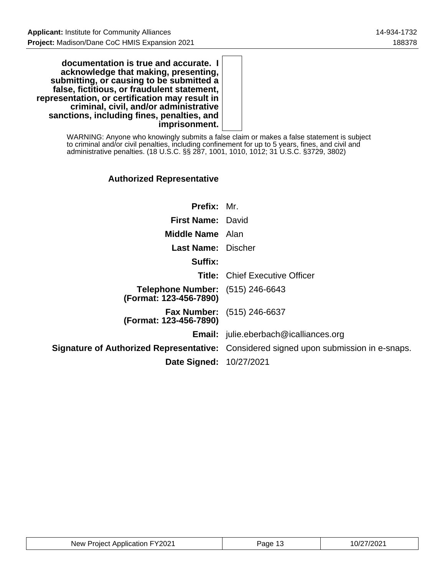**documentation is true and accurate. I acknowledge that making, presenting, submitting, or causing to be submitted a false, fictitious, or fraudulent statement, representation, or certification may result in criminal, civil, and/or administrative sanctions, including fines, penalties, and imprisonment.**

> WARNING: Anyone who knowingly submits a false claim or makes a false statement is subject to criminal and/or civil penalties, including confinement for up to 5 years, fines, and civil and administrative penalties. (18 U.S.C. §§ 287, 1001, 1010, 1012; 31 U.S.C. §3729, 3802)

## **Authorized Representative**

| <b>Prefix: Mr.</b>                                         |                                                                                              |
|------------------------------------------------------------|----------------------------------------------------------------------------------------------|
| <b>First Name: David</b>                                   |                                                                                              |
| <b>Middle Name</b> Alan                                    |                                                                                              |
| <b>Last Name: Discher</b>                                  |                                                                                              |
| Suffix:                                                    |                                                                                              |
|                                                            | <b>Title: Chief Executive Officer</b>                                                        |
| Telephone Number: (515) 246-6643<br>(Format: 123-456-7890) |                                                                                              |
| (Format: 123-456-7890)                                     | <b>Fax Number:</b> (515) 246-6637                                                            |
|                                                            | <b>Email:</b> julie.eberbach@icalliances.org                                                 |
|                                                            | <b>Signature of Authorized Representative:</b> Considered signed upon submission in e-snaps. |
| <b>Date Signed: 10/27/2021</b>                             |                                                                                              |

| New Project Application FY2021 | Page 1J | 10/27/2021 |
|--------------------------------|---------|------------|
|--------------------------------|---------|------------|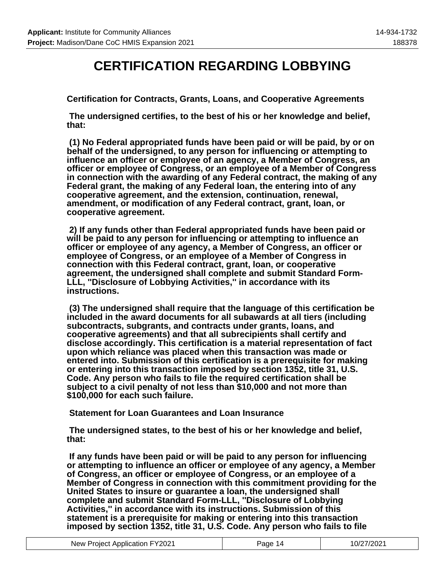## **CERTIFICATION REGARDING LOBBYING**

**Certification for Contracts, Grants, Loans, and Cooperative Agreements**

 **The undersigned certifies, to the best of his or her knowledge and belief, that:**

 **(1) No Federal appropriated funds have been paid or will be paid, by or on behalf of the undersigned, to any person for influencing or attempting to influence an officer or employee of an agency, a Member of Congress, an officer or employee of Congress, or an employee of a Member of Congress in connection with the awarding of any Federal contract, the making of any Federal grant, the making of any Federal loan, the entering into of any cooperative agreement, and the extension, continuation, renewal, amendment, or modification of any Federal contract, grant, loan, or cooperative agreement.**

 **2) If any funds other than Federal appropriated funds have been paid or will be paid to any person for influencing or attempting to influence an officer or employee of any agency, a Member of Congress, an officer or employee of Congress, or an employee of a Member of Congress in connection with this Federal contract, grant, loan, or cooperative agreement, the undersigned shall complete and submit Standard Form-LLL, ''Disclosure of Lobbying Activities,'' in accordance with its instructions.**

 **(3) The undersigned shall require that the language of this certification be included in the award documents for all subawards at all tiers (including subcontracts, subgrants, and contracts under grants, loans, and cooperative agreements) and that all subrecipients shall certify and disclose accordingly. This certification is a material representation of fact upon which reliance was placed when this transaction was made or entered into. Submission of this certification is a prerequisite for making or entering into this transaction imposed by section 1352, title 31, U.S. Code. Any person who fails to file the required certification shall be subject to a civil penalty of not less than \$10,000 and not more than \$100,000 for each such failure.**

 **Statement for Loan Guarantees and Loan Insurance**

 **The undersigned states, to the best of his or her knowledge and belief, that:**

 **If any funds have been paid or will be paid to any person for influencing or attempting to influence an officer or employee of any agency, a Member of Congress, an officer or employee of Congress, or an employee of a Member of Congress in connection with this commitment providing for the United States to insure or guarantee a loan, the undersigned shall complete and submit Standard Form-LLL, ''Disclosure of Lobbying Activities,'' in accordance with its instructions. Submission of this statement is a prerequisite for making or entering into this transaction imposed by section 1352, title 31, U.S. Code. Any person who fails to file**

| New Project Application FY2021 | Page 14 | 10/27/2021 |
|--------------------------------|---------|------------|
|--------------------------------|---------|------------|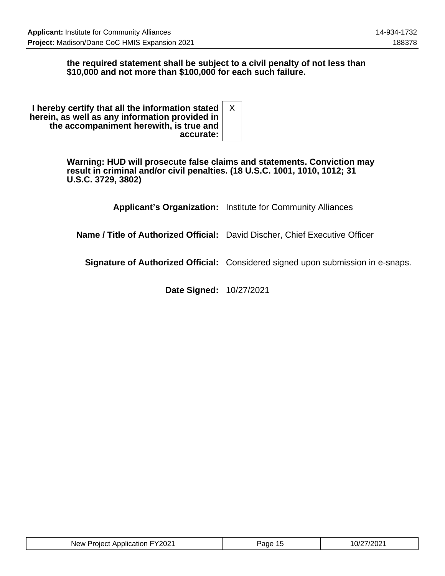### **the required statement shall be subject to a civil penalty of not less than \$10,000 and not more than \$100,000 for each such failure.**

**I hereby certify that all the information stated herein, as well as any information provided in the accompaniment herewith, is true and accurate:** X

> **Warning: HUD will prosecute false claims and statements. Conviction may result in criminal and/or civil penalties. (18 U.S.C. 1001, 1010, 1012; 31 U.S.C. 3729, 3802)**

> > **Applicant's Organization:** Institute for Community Alliances

**Name / Title of Authorized Official:** David Discher, Chief Executive Officer

**Signature of Authorized Official:** Considered signed upon submission in e-snaps.

**Date Signed:** 10/27/2021

| New Project Application FY2021 | Page 15 | 10/27/2021 |
|--------------------------------|---------|------------|
|--------------------------------|---------|------------|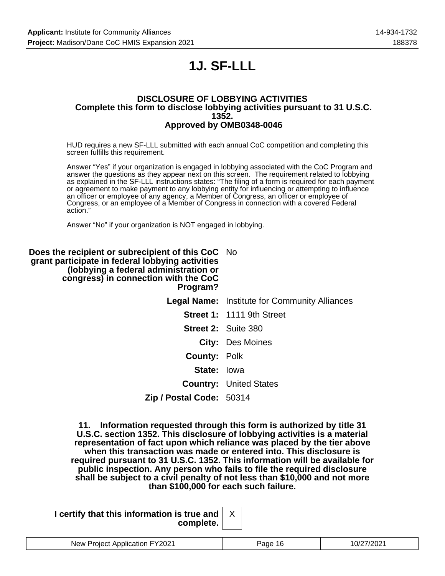## **1J. SF-LLL**

#### **DISCLOSURE OF LOBBYING ACTIVITIES Complete this form to disclose lobbying activities pursuant to 31 U.S.C. 1352. Approved by OMB0348-0046**

HUD requires a new SF-LLL submitted with each annual CoC competition and completing this screen fulfills this requirement.

Answer "Yes" if your organization is engaged in lobbying associated with the CoC Program and answer the questions as they appear next on this screen. The requirement related to lobbying as explained in the SF-LLL instructions states: "The filing of a form is required for each payment or agreement to make payment to any lobbying entity for influencing or attempting to influence an officer or employee of any agency, a Member of Congress, an officer or employee of Congress, or an employee of a Member of Congress in connection with a covered Federal action."

Answer "No" if your organization is NOT engaged in lobbying.

**Does the recipient or subrecipient of this CoC** No **grant participate in federal lobbying activities (lobbying a federal administration or congress) in connection with the CoC Program? Legal Name:** Institute for Community Alliances **Street 1:** 1111 9th Street **Street 2:** Suite 380 **City:** Des Moines **County:** Polk **State:** Iowa **Country:** United States **Zip / Postal Code:** 50314

> **11. Information requested through this form is authorized by title 31 U.S.C. section 1352. This disclosure of lobbying activities is a material representation of fact upon which reliance was placed by the tier above when this transaction was made or entered into. This disclosure is required pursuant to 31 U.S.C. 1352. This information will be available for public inspection. Any person who fails to file the required disclosure shall be subject to a civil penalty of not less than \$10,000 and not more than \$100,000 for each such failure.**

**I certify that this information is true and complete.**

| Y2021<br>New<br>TIOL<br>… ⊔e^<br>. | апе<br>. . | . |
|------------------------------------|------------|---|
|                                    |            |   |

X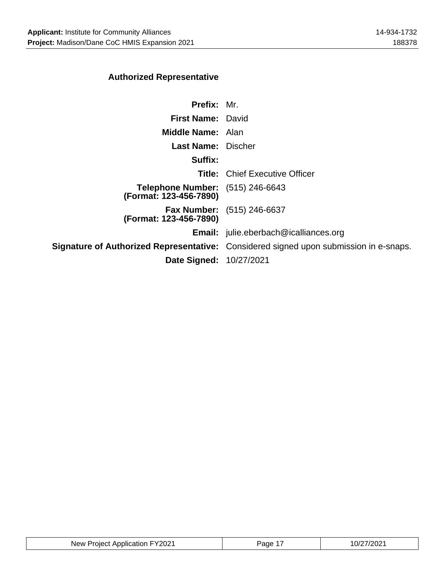## **Authorized Representative**

| <b>Prefix: Mr.</b>                                                                           |
|----------------------------------------------------------------------------------------------|
| First Name: David                                                                            |
| Middle Name: Alan                                                                            |
| <b>Last Name: Discher</b>                                                                    |
|                                                                                              |
| <b>Title: Chief Executive Officer</b>                                                        |
| <b>Telephone Number:</b> (515) 246-6643                                                      |
| <b>Fax Number:</b> (515) 246-6637                                                            |
| <b>Email:</b> julie.eberbach@icalliances.org                                                 |
| <b>Signature of Authorized Representative:</b> Considered signed upon submission in e-snaps. |
| <b>Date Signed: 10/27/2021</b>                                                               |
|                                                                                              |

| New Project Application FY2021 | Page 1 | 10/27/2021 |
|--------------------------------|--------|------------|
|--------------------------------|--------|------------|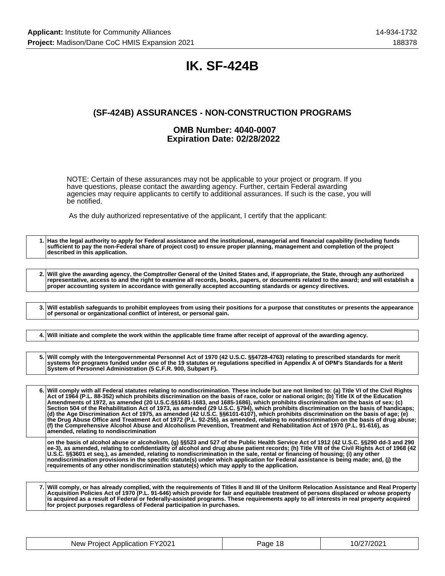## **IK. SF-424B**

## **(SF-424B) ASSURANCES - NON-CONSTRUCTION PROGRAMS**

### **OMB Number: 4040-0007 Expiration Date: 02/28/2022**

NOTE: Certain of these assurances may not be applicable to your project or program. If you have questions, please contact the awarding agency. Further, certain Federal awarding agencies may require applicants to certify to additional assurances. If such is the case, you will be notified.

As the duly authorized representative of the applicant, I certify that the applicant:

**1. Has the legal authority to apply for Federal assistance and the institutional, managerial and financial capability (including funds sufficient to pay the non-Federal share of project cost) to ensure proper planning, management and completion of the project described in this application.**

**2. Will give the awarding agency, the Comptroller General of the United States and, if appropriate, the State, through any authorized representative, access to and the right to examine all records, books, papers, or documents related to the award; and will establish a proper accounting system in accordance with generally accepted accounting standards or agency directives.**

**3. Will establish safeguards to prohibit employees from using their positions for a purpose that constitutes or presents the appearance of personal or organizational conflict of interest, or personal gain.**

**4. Will initiate and complete the work within the applicable time frame after receipt of approval of the awarding agency.**

**5. Will comply with the Intergovernmental Personnel Act of 1970 (42 U.S.C. §§4728-4763) relating to prescribed standards for merit systems for programs funded under one of the 19 statutes or regulations specified in Appendix A of OPM's Standards for a Merit System of Personnel Administration (5 C.F.R. 900, Subpart F).**

**6. Will comply with all Federal statutes relating to nondiscrimination. These include but are not limited to: (a) Title VI of the Civil Rights Act of 1964 (P.L. 88-352) which prohibits discrimination on the basis of race, color or national origin; (b) Title IX of the Education Amendments of 1972, as amended (20 U.S.C.§§1681-1683, and 1685-1686), which prohibits discrimination on the basis of sex; (c) Section 504 of the Rehabilitation Act of 1973, as amended (29 U.S.C. §794), which prohibits discrimination on the basis of handicaps; (d) the Age Discrimination Act of 1975, as amended (42 U.S.C. §§6101-6107), which prohibits discrimination on the basis of age; (e) the Drug Abuse Office and Treatment Act of 1972 (P.L. 92-255), as amended, relating to nondiscrimination on the basis of drug abuse; (f) the Comprehensive Alcohol Abuse and Alcoholism Prevention, Treatment and Rehabilitation Act of 1970 (P.L. 91-616), as amended, relating to nondiscrimination**

**on the basis of alcohol abuse or alcoholism, (g) §§523 and 527 of the Public Health Service Act of 1912 (42 U.S.C. §§290 dd-3 and 290 ee-3), as amended, relating to confidentiality of alcohol and drug abuse patient records; (h) Title VIII of the Civil Rights Act of 1968 (42 U.S.C. §§3601 et seq.), as amended, relating to nondiscrimination in the sale, rental or financing of housing; (i) any other nondiscrimination provisions in the specific statute(s) under which application for Federal assistance is being made; and, (j) the requirements of any other nondiscrimination statute(s) which may apply to the application.**

**7. Will comply, or has already complied, with the requirements of Titles II and III of the Uniform Relocation Assistance and Real Property Acquisition Policies Act of 1970 (P.L. 91-646) which provide for fair and equitable treatment of persons displaced or whose property is acquired as a result of Federal or federally-assisted programs. These requirements apply to all interests in real property acquired for project purposes regardless of Federal participation in purchases.**

| New Project Application FY2021 | Page 18 | 10/27/2021 |
|--------------------------------|---------|------------|
|--------------------------------|---------|------------|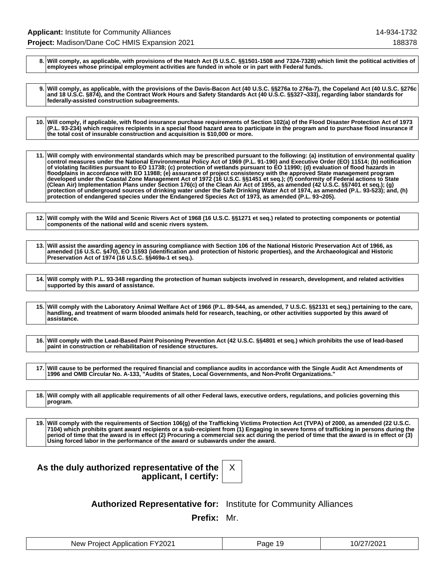**8. Will comply, as applicable, with provisions of the Hatch Act (5 U.S.C. §§1501-1508 and 7324-7328) which limit the political activities of employees whose principal employment activities are funded in whole or in part with Federal funds.**

**9. Will comply, as applicable, with the provisions of the Davis-Bacon Act (40 U.S.C. §§276a to 276a-7), the Copeland Act (40 U.S.C. §276c and 18 U.S.C. §874), and the Contract Work Hours and Safety Standards Act (40 U.S.C. §§327¬333), regarding labor standards for federally-assisted construction subagreements.**

**10. Will comply, if applicable, with flood insurance purchase requirements of Section 102(a) of the Flood Disaster Protection Act of 1973 (P.L. 93-234) which requires recipients in a special flood hazard area to participate in the program and to purchase flood insurance if the total cost of insurable construction and acquisition is \$10,000 or more.**

**11. Will comply with environmental standards which may be prescribed pursuant to the following: (a) institution of environmental quality control measures under the National Environmental Policy Act of 1969 (P.L. 91-190) and Executive Order (EO) 11514; (b) notification of violating facilities pursuant to EO 11738; (c) protection of wetlands pursuant to EO 11990; (d) evaluation of flood hazards in floodplains in accordance with EO 11988; (e) assurance of project consistency with the approved State management program developed under the Coastal Zone Management Act of 1972 (16 U.S.C. §§1451 et seq.); (f) conformity of Federal actions to State (Clean Air) Implementation Plans under Section 176(c) of the Clean Air Act of 1955, as amended (42 U.S.C. §§7401 et seq.); (g) protection of underground sources of drinking water under the Safe Drinking Water Act of 1974, as amended (P.L. 93-523); and, (h) protection of endangered species under the Endangered Species Act of 1973, as amended (P.L. 93¬205).**

**12. Will comply with the Wild and Scenic Rivers Act of 1968 (16 U.S.C. §§1271 et seq.) related to protecting components or potential components of the national wild and scenic rivers system.**

**13. Will assist the awarding agency in assuring compliance with Section 106 of the National Historic Preservation Act of 1966, as amended (16 U.S.C. §470), EO 11593 (identification and protection of historic properties), and the Archaeological and Historic Preservation Act of 1974 (16 U.S.C. §§469a-1 et seq.).**

**14. Will comply with P.L. 93-348 regarding the protection of human subjects involved in research, development, and related activities supported by this award of assistance.**

**15. Will comply with the Laboratory Animal Welfare Act of 1966 (P.L. 89-544, as amended, 7 U.S.C. §§2131 et seq.) pertaining to the care, handling, and treatment of warm blooded animals held for research, teaching, or other activities supported by this award of assistance.**

**16. Will comply with the Lead-Based Paint Poisoning Prevention Act (42 U.S.C. §§4801 et seq.) which prohibits the use of lead-based paint in construction or rehabilitation of residence structures.**

**17. Will cause to be performed the required financial and compliance audits in accordance with the Single Audit Act Amendments of 1996 and OMB Circular No. A-133, "Audits of States, Local Governments, and Non-Profit Organizations."**

**18. Will comply with all applicable requirements of all other Federal laws, executive orders, regulations, and policies governing this program.**

**19. Will comply with the requirements of Section 106(g) of the Trafficking Victims Protection Act (TVPA) of 2000, as amended (22 U.S.C. 7104) which prohibits grant award recipients or a sub-recipient from (1) Engaging in severe forms of trafficking in persons during the period of time that the award is in effect (2) Procuring a commercial sex act during the period of time that the award is in effect or (3) Using forced labor in the performance of the award or subawards under the award.**

| As the duly authorized representative of the |                       |  |
|----------------------------------------------|-----------------------|--|
|                                              | applicant, I certify: |  |



**Authorized Representative for:** Institute for Community Alliances

**Prefix:** Mr.

| New Project Application FY2021 | Page 19 | 10/27/2021 |
|--------------------------------|---------|------------|
|--------------------------------|---------|------------|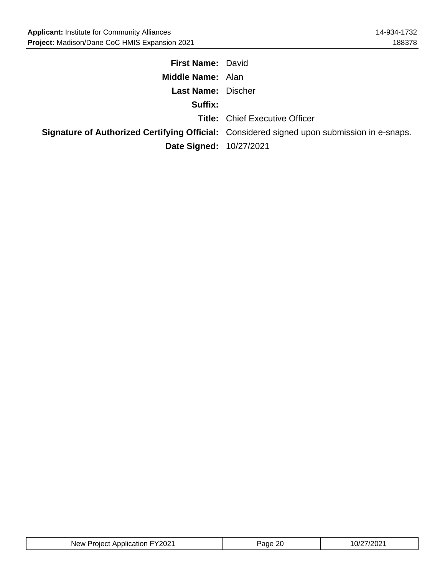| <b>First Name: David</b>  |                                                                                                   |
|---------------------------|---------------------------------------------------------------------------------------------------|
| <b>Middle Name: Alan</b>  |                                                                                                   |
| <b>Last Name: Discher</b> |                                                                                                   |
| Suffix:                   |                                                                                                   |
|                           | <b>Title: Chief Executive Officer</b>                                                             |
|                           | <b>Signature of Authorized Certifying Official:</b> Considered signed upon submission in e-snaps. |
| Date Signed: 10/27/2021   |                                                                                                   |

| New Project Application FY2021 | Page 20 | 10/27/2021 |
|--------------------------------|---------|------------|
|--------------------------------|---------|------------|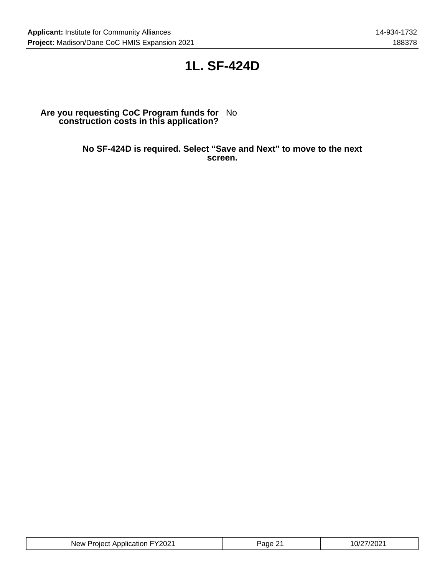## **1L. SF-424D**

#### **Are you requesting CoC Program funds for construction costs in this application?** No

**No SF-424D is required. Select "Save and Next" to move to the next screen.**

| New Project Application FY2021 | Page<br>י ה | 10/27/2021 |
|--------------------------------|-------------|------------|
|--------------------------------|-------------|------------|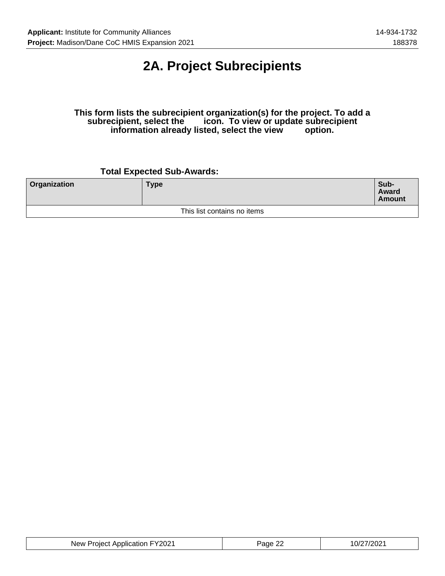## **2A. Project Subrecipients**

### **This form lists the subrecipient organization(s) for the project. To add a** icon. To view or update subrecipient<br>sted, select the view option. information already listed, select the view

## **Total Expected Sub-Awards:**

| <b>Organization</b> | Type                        | Sub-<br>Award<br><b>Amount</b> |
|---------------------|-----------------------------|--------------------------------|
|                     | This list contains no items |                                |

| New Project Application FY2021 | <sup>2</sup> age 22 | 10/27/2021 |
|--------------------------------|---------------------|------------|
|--------------------------------|---------------------|------------|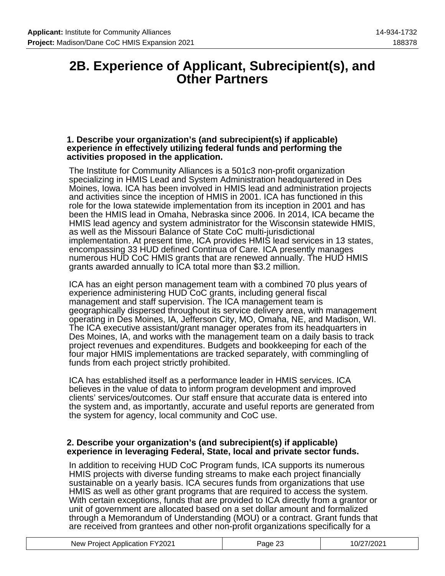## **2B. Experience of Applicant, Subrecipient(s), and Other Partners**

### **1. Describe your organization's (and subrecipient(s) if applicable) experience in effectively utilizing federal funds and performing the activities proposed in the application.**

The Institute for Community Alliances is a 501c3 non-profit organization specializing in HMIS Lead and System Administration headquartered in Des Moines, Iowa. ICA has been involved in HMIS lead and administration projects and activities since the inception of HMIS in 2001. ICA has functioned in this role for the Iowa statewide implementation from its inception in 2001 and has been the HMIS lead in Omaha, Nebraska since 2006. In 2014, ICA became the HMIS lead agency and system administrator for the Wisconsin statewide HMIS, as well as the Missouri Balance of State CoC multi-jurisdictional implementation. At present time, ICA provides HMIS lead services in 13 states, encompassing 33 HUD defined Continua of Care. ICA presently manages numerous HUD CoC HMIS grants that are renewed annually. The HUD HMIS grants awarded annually to ICA total more than \$3.2 million.

ICA has an eight person management team with a combined 70 plus years of experience administering HUD CoC grants, including general fiscal management and staff supervision. The ICA management team is geographically dispersed throughout its service delivery area, with management operating in Des Moines, IA, Jefferson City, MO, Omaha, NE, and Madison, WI. The ICA executive assistant/grant manager operates from its headquarters in Des Moines, IA, and works with the management team on a daily basis to track project revenues and expenditures. Budgets and bookkeeping for each of the four major HMIS implementations are tracked separately, with commingling of funds from each project strictly prohibited.

ICA has established itself as a performance leader in HMIS services. ICA believes in the value of data to inform program development and improved clients' services/outcomes. Our staff ensure that accurate data is entered into the system and, as importantly, accurate and useful reports are generated from the system for agency, local community and CoC use.

### **2. Describe your organization's (and subrecipient(s) if applicable) experience in leveraging Federal, State, local and private sector funds.**

In addition to receiving HUD CoC Program funds, ICA supports its numerous HMIS projects with diverse funding streams to make each project financially sustainable on a yearly basis. ICA secures funds from organizations that use HMIS as well as other grant programs that are required to access the system. With certain exceptions, funds that are provided to ICA directly from a grantor or unit of government are allocated based on a set dollar amount and formalized through a Memorandum of Understanding (MOU) or a contract. Grant funds that are received from grantees and other non-profit organizations specifically for a

| New Project Application FY2021 | <sup>o</sup> age 23 | 10/27/2021 |
|--------------------------------|---------------------|------------|
|                                |                     |            |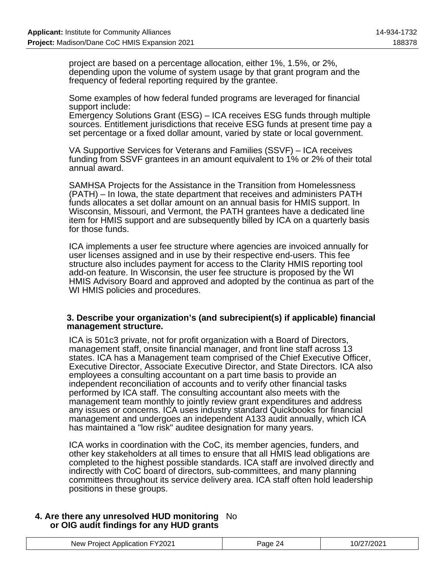project are based on a percentage allocation, either 1%, 1.5%, or 2%, depending upon the volume of system usage by that grant program and the frequency of federal reporting required by the grantee.

Some examples of how federal funded programs are leveraged for financial support include:

Emergency Solutions Grant (ESG) – ICA receives ESG funds through multiple sources. Entitlement jurisdictions that receive ESG funds at present time pay a set percentage or a fixed dollar amount, varied by state or local government.

VA Supportive Services for Veterans and Families (SSVF) – ICA receives funding from SSVF grantees in an amount equivalent to 1% or 2% of their total annual award.

SAMHSA Projects for the Assistance in the Transition from Homelessness (PATH) – In Iowa, the state department that receives and administers PATH funds allocates a set dollar amount on an annual basis for HMIS support. In Wisconsin, Missouri, and Vermont, the PATH grantees have a dedicated line item for HMIS support and are subsequently billed by ICA on a quarterly basis for those funds.

ICA implements a user fee structure where agencies are invoiced annually for user licenses assigned and in use by their respective end-users. This fee structure also includes payment for access to the Clarity HMIS reporting tool add-on feature. In Wisconsin, the user fee structure is proposed by the WI HMIS Advisory Board and approved and adopted by the continua as part of the WI HMIS policies and procedures.

### **3. Describe your organization's (and subrecipient(s) if applicable) financial management structure.**

ICA is 501c3 private, not for profit organization with a Board of Directors, management staff, onsite financial manager, and front line staff across 13 states. ICA has a Management team comprised of the Chief Executive Officer, Executive Director, Associate Executive Director, and State Directors. ICA also employees a consulting accountant on a part time basis to provide an independent reconciliation of accounts and to verify other financial tasks performed by ICA staff. The consulting accountant also meets with the management team monthly to jointly review grant expenditures and address any issues or concerns. ICA uses industry standard Quickbooks for financial management and undergoes an independent A133 audit annually, which ICA has maintained a "low risk" auditee designation for many years.

ICA works in coordination with the CoC, its member agencies, funders, and other key stakeholders at all times to ensure that all HMIS lead obligations are completed to the highest possible standards. ICA staff are involved directly and indirectly with CoC board of directors, sub-committees, and many planning committees throughout its service delivery area. ICA staff often hold leadership positions in these groups.

### **4. Are there any unresolved HUD monitoring** No **or OIG audit findings for any HUD grants**

| New Project Application FY2021 | Page 24 | 10/27/2021 |
|--------------------------------|---------|------------|
|--------------------------------|---------|------------|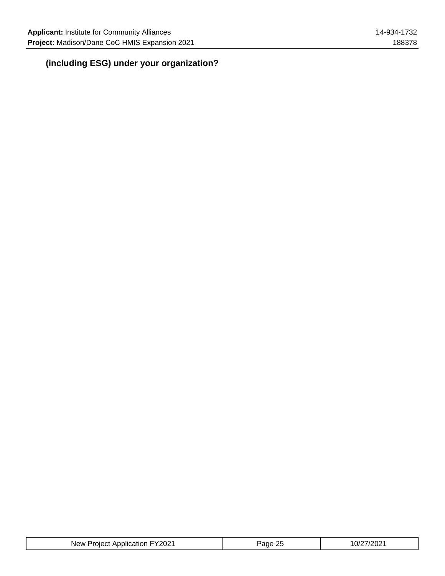## **(including ESG) under your organization?**

| <b>Project Application FY2021</b><br><b>New</b> P | ane | '.UZ |
|---------------------------------------------------|-----|------|
|---------------------------------------------------|-----|------|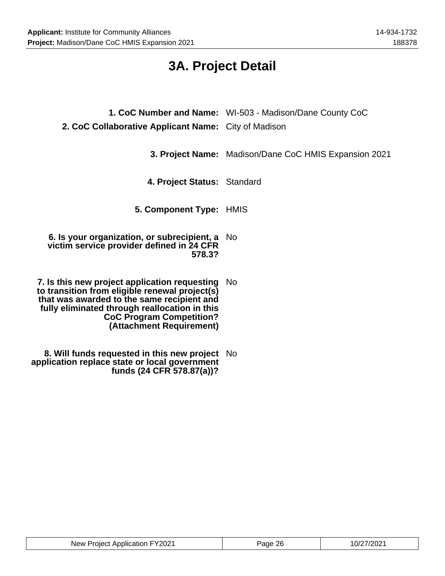**application replace state or local government**

**funds (24 CFR 578.87(a))?**

## **3A. Project Detail**

| 2. CoC Collaborative Applicant Name: City of Madison                                                                                                                                                                                                             | 1. CoC Number and Name: WI-503 - Madison/Dane County CoC |
|------------------------------------------------------------------------------------------------------------------------------------------------------------------------------------------------------------------------------------------------------------------|----------------------------------------------------------|
|                                                                                                                                                                                                                                                                  | 3. Project Name: Madison/Dane CoC HMIS Expansion 2021    |
| 4. Project Status: Standard                                                                                                                                                                                                                                      |                                                          |
| 5. Component Type: HMIS                                                                                                                                                                                                                                          |                                                          |
| 6. Is your organization, or subrecipient, a No<br>victim service provider defined in 24 CFR<br>578.3?                                                                                                                                                            |                                                          |
| 7. Is this new project application requesting No<br>to transition from eligible renewal project(s)<br>that was awarded to the same recipient and<br>fully eliminated through reallocation in this<br><b>CoC Program Competition?</b><br>(Attachment Requirement) |                                                          |
| 8. Will funds requested in this new project No                                                                                                                                                                                                                   |                                                          |

| <sup>-</sup> 72021<br>New<br>niect.<br>Application | ገር<br>аое<br>L. | ימחריו<br>U<br>ے∪∴ |
|----------------------------------------------------|-----------------|--------------------|
|----------------------------------------------------|-----------------|--------------------|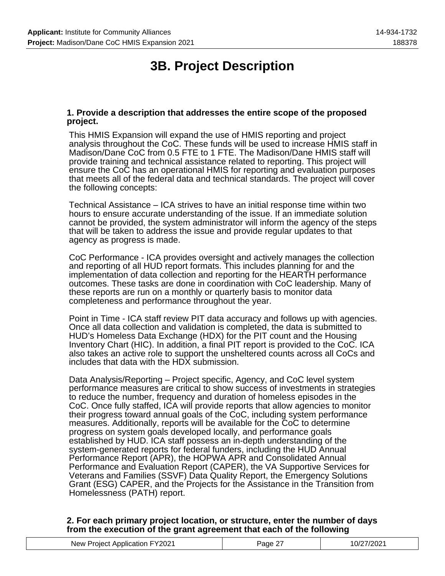## **3B. Project Description**

### **1. Provide a description that addresses the entire scope of the proposed project.**

This HMIS Expansion will expand the use of HMIS reporting and project analysis throughout the CoC. These funds will be used to increase HMIS staff in Madison/Dane CoC from 0.5 FTE to 1 FTE. The Madison/Dane HMIS staff will provide training and technical assistance related to reporting. This project will ensure the CoC has an operational HMIS for reporting and evaluation purposes that meets all of the federal data and technical standards. The project will cover the following concepts:

Technical Assistance – ICA strives to have an initial response time within two hours to ensure accurate understanding of the issue. If an immediate solution cannot be provided, the system administrator will inform the agency of the steps that will be taken to address the issue and provide regular updates to that agency as progress is made.

CoC Performance - ICA provides oversight and actively manages the collection and reporting of all HUD report formats. This includes planning for and the implementation of data collection and reporting for the HEARTH performance outcomes. These tasks are done in coordination with CoC leadership. Many of these reports are run on a monthly or quarterly basis to monitor data completeness and performance throughout the year.

Point in Time - ICA staff review PIT data accuracy and follows up with agencies. Once all data collection and validation is completed, the data is submitted to HUD's Homeless Data Exchange (HDX) for the PIT count and the Housing Inventory Chart (HIC). In addition, a final PIT report is provided to the CoC. ICA also takes an active role to support the unsheltered counts across all CoCs and includes that data with the HDX submission.

Data Analysis/Reporting – Project specific, Agency, and CoC level system performance measures are critical to show success of investments in strategies to reduce the number, frequency and duration of homeless episodes in the CoC. Once fully staffed, ICA will provide reports that allow agencies to monitor their progress toward annual goals of the CoC, including system performance measures. Additionally, reports will be available for the CoC to determine progress on system goals developed locally, and performance goals established by HUD. ICA staff possess an in-depth understanding of the system-generated reports for federal funders, including the HUD Annual Performance Report (APR), the HOPWA APR and Consolidated Annual Performance and Evaluation Report (CAPER), the VA Supportive Services for Veterans and Families (SSVF) Data Quality Report, the Emergency Solutions Grant (ESG) CAPER, and the Projects for the Assistance in the Transition from Homelessness (PATH) report.

### **2. For each primary project location, or structure, enter the number of days from the execution of the grant agreement that each of the following**

| New Project Application FY2021 | Page | 10/27/2021 |
|--------------------------------|------|------------|
|--------------------------------|------|------------|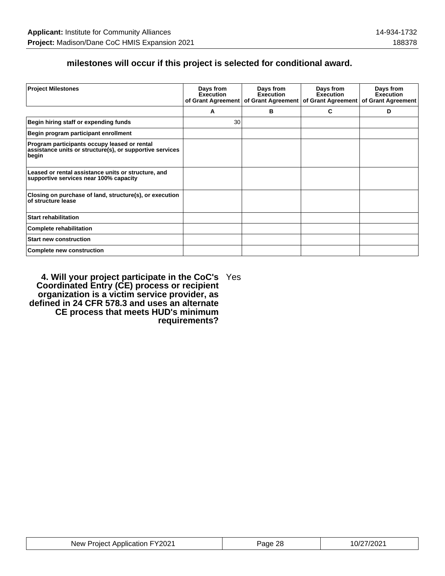## **milestones will occur if this project is selected for conditional award.**

| <b>Project Milestones</b>                                                                                         | Days from<br><b>Execution</b> | Days from<br><b>Execution</b><br>of Grant Agreement   of Grant Agreement | Days from<br><b>Execution</b><br>of Grant Agreement | Days from<br><b>Execution</b><br>of Grant Agreement |
|-------------------------------------------------------------------------------------------------------------------|-------------------------------|--------------------------------------------------------------------------|-----------------------------------------------------|-----------------------------------------------------|
|                                                                                                                   | А                             | в                                                                        | C                                                   | D                                                   |
| Begin hiring staff or expending funds                                                                             | 30                            |                                                                          |                                                     |                                                     |
| Begin program participant enrollment                                                                              |                               |                                                                          |                                                     |                                                     |
| Program participants occupy leased or rental<br>assistance units or structure(s), or supportive services<br>begin |                               |                                                                          |                                                     |                                                     |
| Leased or rental assistance units or structure, and<br>supportive services near 100% capacity                     |                               |                                                                          |                                                     |                                                     |
| Closing on purchase of land, structure(s), or execution<br>of structure lease                                     |                               |                                                                          |                                                     |                                                     |
| <b>Start rehabilitation</b>                                                                                       |                               |                                                                          |                                                     |                                                     |
| <b>Complete rehabilitation</b>                                                                                    |                               |                                                                          |                                                     |                                                     |
| <b>Start new construction</b>                                                                                     |                               |                                                                          |                                                     |                                                     |
| <b>Complete new construction</b>                                                                                  |                               |                                                                          |                                                     |                                                     |

**4. Will your project participate in the CoC's Coordinated Entry (CE) process or recipient organization is a victim service provider, as defined in 24 CFR 578.3 and uses an alternate CE process that meets HUD's minimum requirements?** Yes

| New Project Application FY2021 | ጋደ<br>Page | 10/27/2021 |
|--------------------------------|------------|------------|
|--------------------------------|------------|------------|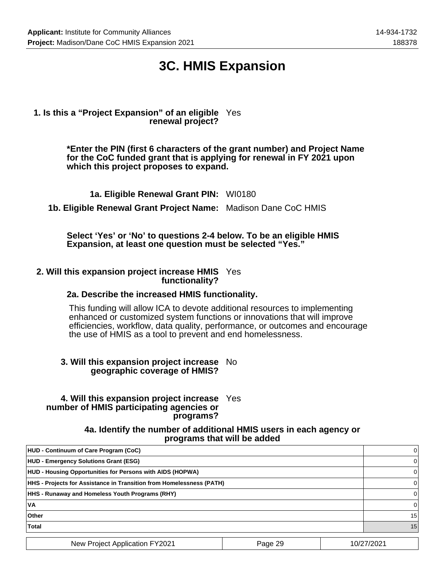## **3C. HMIS Expansion**

### **1. Is this a "Project Expansion" of an eligible** Yes **renewal project?**

**\*Enter the PIN (first 6 characters of the grant number) and Project Name for the CoC funded grant that is applying for renewal in FY 2021 upon which this project proposes to expand.**

**1a. Eligible Renewal Grant PIN:** WI0180

**1b. Eligible Renewal Grant Project Name:** Madison Dane CoC HMIS

**Select 'Yes' or 'No' to questions 2-4 below. To be an eligible HMIS Expansion, at least one question must be selected "Yes."**

#### **2. Will this expansion project increase HMIS** Yes **functionality?**

### **2a. Describe the increased HMIS functionality.**

This funding will allow ICA to devote additional resources to implementing enhanced or customized system functions or innovations that will improve efficiencies, workflow, data quality, performance, or outcomes and encourage the use of HMIS as a tool to prevent and end homelessness.

### **3. Will this expansion project increase** No **geographic coverage of HMIS?**

### **4. Will this expansion project increase** Yes **number of HMIS participating agencies or programs?**

**4a. Identify the number of additional HMIS users in each agency or programs that will be added**

| <b>HUD - Continuum of Care Program (CoC)</b>                         |         | 0          |
|----------------------------------------------------------------------|---------|------------|
| <b>HUD - Emergency Solutions Grant (ESG)</b>                         |         | 0          |
| HUD - Housing Opportunities for Persons with AIDS (HOPWA)            |         | 0          |
| HHS - Projects for Assistance in Transition from Homelessness (PATH) |         | 0          |
| <b>HHS - Runaway and Homeless Youth Programs (RHY)</b>               |         | 0          |
| 'VA                                                                  |         | $\Omega$   |
| Other                                                                |         | 15         |
| <b>Total</b>                                                         |         | 15         |
| <b>New Project Application FY2021</b>                                | Page 29 | 10/27/2021 |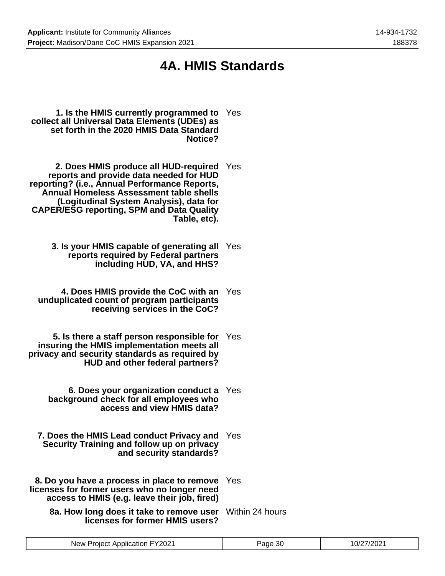## **4A. HMIS Standards**

- **1. Is the HMIS currently programmed to** Yes **collect all Universal Data Elements (UDEs) as set forth in the 2020 HMIS Data Standard Notice?**
- **2. Does HMIS produce all HUD-required** Yes **reports and provide data needed for HUD reporting? (i.e., Annual Performance Reports, Annual Homeless Assessment table shells (Logitudinal System Analysis), data for CAPER/ESG reporting, SPM and Data Quality Table, etc).**
	- **3. Is your HMIS capable of generating all** Yes **reports required by Federal partners including HUD, VA, and HHS?**
	- **4. Does HMIS provide the CoC with an** Yes **unduplicated count of program participants receiving services in the CoC?**
- **5. Is there a staff person responsible for insuring the HMIS implementation meets all privacy and security standards as required by HUD and other federal partners?** Yes
	- **6. Does your organization conduct a** Yes **background check for all employees who access and view HMIS data?**
	- **7. Does the HMIS Lead conduct Privacy and** Yes **Security Training and follow up on privacy and security standards?**
- **8. Do you have a process in place to remove** Yes **licenses for former users who no longer need access to HMIS (e.g. leave their job, fired)**
	- **8a. How long does it take to remove user licenses for former HMIS users?** Within 24 hours

| ∤מ∩כ<br>'vew<br>. OIAC<br>ADDIICATION<br>∪∠<br>. | апе<br>: וכ | $10^r$<br>ירזכ<br>$\overline{\mathbf{u}}$ |
|--------------------------------------------------|-------------|-------------------------------------------|
|                                                  |             |                                           |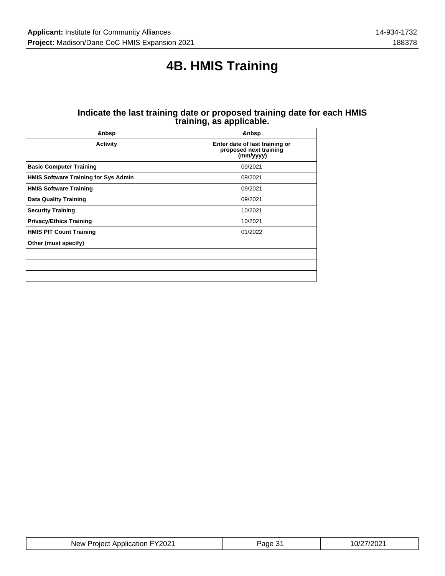## **4B. HMIS Training**

#### **Indicate the last training date or proposed training date for each HMIS training, as applicable.**  $\overline{1}$

| <b>Activity</b>                             | Enter date of last training or<br>proposed next training<br>(mm/yyyy) |
|---------------------------------------------|-----------------------------------------------------------------------|
| <b>Basic Computer Training</b>              | 09/2021                                                               |
| <b>HMIS Software Training for Sys Admin</b> | 09/2021                                                               |
| <b>HMIS Software Training</b>               | 09/2021                                                               |
| <b>Data Quality Training</b>                | 09/2021                                                               |
| <b>Security Training</b>                    | 10/2021                                                               |
| <b>Privacy/Ethics Training</b>              | 10/2021                                                               |
| <b>HMIS PIT Count Training</b>              | 01/2022                                                               |
| Other (must specify)                        |                                                                       |
|                                             |                                                                       |
|                                             |                                                                       |
|                                             |                                                                       |

| New Project Application FY2021 | <sup>5</sup> age 31 | 10/27/2021 |
|--------------------------------|---------------------|------------|
|--------------------------------|---------------------|------------|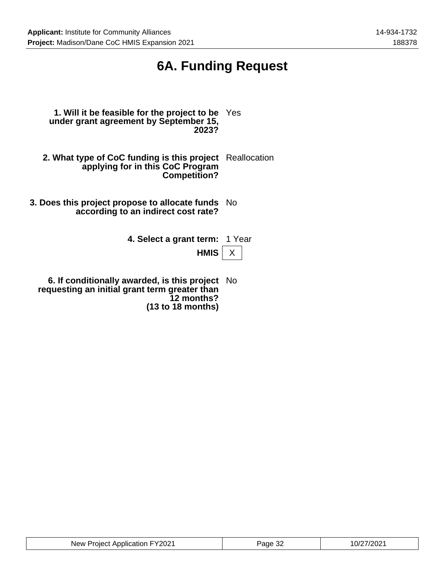## **6A. Funding Request**

- **1. Will it be feasible for the project to be** Yes **under grant agreement by September 15, 2023?**
- **2. What type of CoC funding is this project** Reallocation **applying for in this CoC Program Competition?**
- **3. Does this project propose to allocate funds** No **according to an indirect cost rate?**
	- **4. Select a grant term:** 1 Year

**HMIS**  $\times$ 

**6. If conditionally awarded, is this project** No **requesting an initial grant term greater than 12 months? (13 to 18 months)**

| New Project Application FY2021 | Page 32 | 10/27/2021 |
|--------------------------------|---------|------------|
|--------------------------------|---------|------------|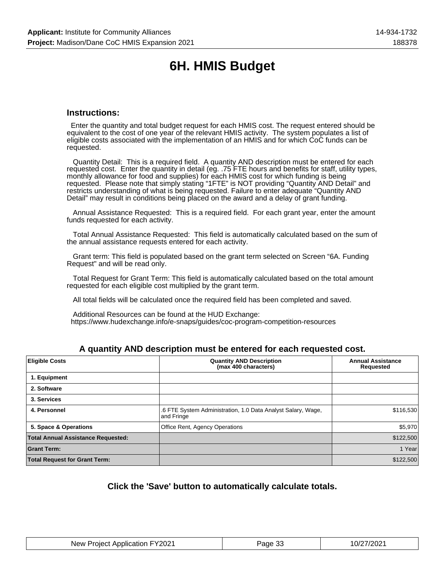## **6H. HMIS Budget**

### **Instructions:**

 Enter the quantity and total budget request for each HMIS cost. The request entered should be equivalent to the cost of one year of the relevant HMIS activity. The system populates a list of eligible costs associated with the implementation of an HMIS and for which CoC funds can be requested.

 Quantity Detail: This is a required field. A quantity AND description must be entered for each requested cost. Enter the quantity in detail (eg. .75 FTE hours and benefits for staff, utility types, monthly allowance for food and supplies) for each HMIS cost for which funding is being requested. Please note that simply stating "1FTE" is NOT providing "Quantity AND Detail" and restricts understanding of what is being requested. Failure to enter adequate "Quantity AND Detail" may result in conditions being placed on the award and a delay of grant funding.

 Annual Assistance Requested: This is a required field. For each grant year, enter the amount funds requested for each activity.

 Total Annual Assistance Requested: This field is automatically calculated based on the sum of the annual assistance requests entered for each activity.

 Grant term: This field is populated based on the grant term selected on Screen "6A. Funding Request" and will be read only.

 Total Request for Grant Term: This field is automatically calculated based on the total amount requested for each eligible cost multiplied by the grant term.

All total fields will be calculated once the required field has been completed and saved.

 Additional Resources can be found at the HUD Exchange: https://www.hudexchange.info/e-snaps/guides/coc-program-competition-resources

### **A quantity AND description must be entered for each requested cost.**

| <b>Eligible Costs</b>                     | <b>Quantity AND Description</b><br>(max 400 characters)                    | <b>Annual Assistance</b><br><b>Requested</b> |
|-------------------------------------------|----------------------------------------------------------------------------|----------------------------------------------|
| 1. Equipment                              |                                                                            |                                              |
| 2. Software                               |                                                                            |                                              |
| 3. Services                               |                                                                            |                                              |
| 4. Personnel                              | .6 FTE System Administration, 1.0 Data Analyst Salary, Wage,<br>and Fringe | \$116,530                                    |
| 5. Space & Operations                     | Office Rent, Agency Operations                                             | \$5,970                                      |
| <b>Total Annual Assistance Requested:</b> |                                                                            | \$122,500                                    |
| <b>Grant Term:</b>                        |                                                                            | 1 Year                                       |
| <b>Total Request for Grant Term:</b>      |                                                                            | \$122,500                                    |

### **Click the 'Save' button to automatically calculate totals.**

| New Project Application FY2021 | Page 33 | 10/27/2021 |
|--------------------------------|---------|------------|
|--------------------------------|---------|------------|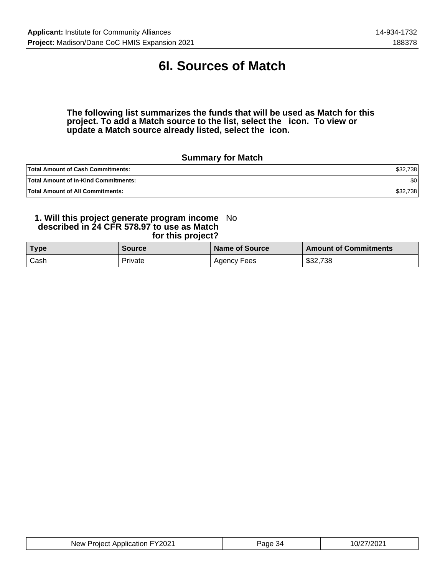## **6I. Sources of Match**

**The following list summarizes the funds that will be used as Match for this project. To add a Match source to the list, select the icon. To view or update a Match source already listed, select the icon.**

## **Summary for Match**

| <b>Total Amount of Cash Commitments:</b>    | \$32,738         |
|---------------------------------------------|------------------|
| <b>Total Amount of In-Kind Commitments:</b> | \$0 <sub>1</sub> |
| <b>Total Amount of All Commitments:</b>     | ا32,738          |

#### **1. Will this project generate program income described in 24 CFR 578.97 to use as Match for this project?** No

| <b>Type</b> | <b>Source</b> | Name of Source | <b>Amount of Commitments</b> |
|-------------|---------------|----------------|------------------------------|
| Cash        | Private       | Agency Fees    | \$32,738                     |

| New Project Application FY2021 | Page 34 | 10/27/2021 |
|--------------------------------|---------|------------|
|--------------------------------|---------|------------|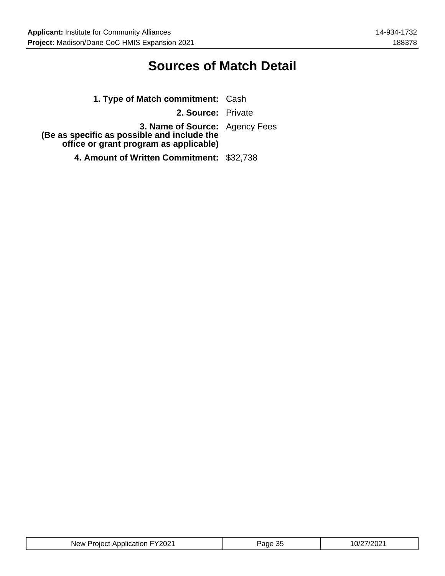## **Sources of Match Detail**

| 1. Type of Match commitment: Cash                                                                                       |  |
|-------------------------------------------------------------------------------------------------------------------------|--|
| 2. Source: Private                                                                                                      |  |
| 3. Name of Source: Agency Fees<br>(Be as specific as possible and include the<br>office or grant program as applicable) |  |
| 4. Amount of Written Commitment: \$32,738                                                                               |  |

| New Project Application FY2021 | Page 35 | 10/27/2021 |
|--------------------------------|---------|------------|
|--------------------------------|---------|------------|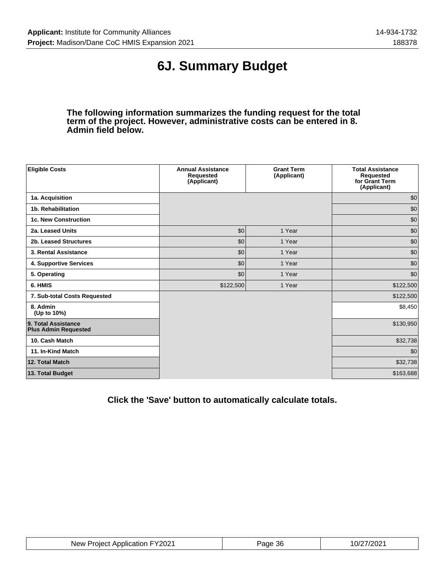## **6J. Summary Budget**

**The following information summarizes the funding request for the total term of the project. However, administrative costs can be entered in 8. Admin field below.**

| <b>Eligible Costs</b>                              | <b>Annual Assistance</b><br><b>Requested</b><br>(Applicant) | <b>Grant Term</b><br>(Applicant) | <b>Total Assistance</b><br>Requested<br>for Grant Term<br>(Applicant) |
|----------------------------------------------------|-------------------------------------------------------------|----------------------------------|-----------------------------------------------------------------------|
| 1a. Acquisition                                    |                                                             |                                  | \$0                                                                   |
| 1b. Rehabilitation                                 |                                                             |                                  | \$0                                                                   |
| <b>1c. New Construction</b>                        |                                                             |                                  | \$0                                                                   |
| 2a. Leased Units                                   | \$0                                                         | 1 Year                           | \$0                                                                   |
| 2b. Leased Structures                              | \$0                                                         | 1 Year                           | \$0                                                                   |
| 3. Rental Assistance                               | \$0                                                         | 1 Year                           | \$0                                                                   |
| 4. Supportive Services                             | \$0                                                         | 1 Year                           | \$0                                                                   |
| 5. Operating                                       | \$0                                                         | 1 Year                           | \$0                                                                   |
| 6. HMIS                                            | \$122,500                                                   | 1 Year                           | \$122,500                                                             |
| 7. Sub-total Costs Requested                       |                                                             |                                  | \$122,500                                                             |
| 8. Admin<br>(Up to 10%)                            |                                                             |                                  | \$8,450                                                               |
| 9. Total Assistance<br><b>Plus Admin Requested</b> |                                                             |                                  | \$130,950                                                             |
| 10. Cash Match                                     |                                                             |                                  | \$32,738                                                              |
| 11. In-Kind Match                                  |                                                             |                                  | \$0                                                                   |
| 12. Total Match                                    |                                                             |                                  | \$32,738                                                              |
| 13. Total Budget                                   |                                                             |                                  | \$163,688                                                             |

**Click the 'Save' button to automatically calculate totals.**

| New Project Application FY2021 | <sup>D</sup> age 36 | 10/27/2021 |
|--------------------------------|---------------------|------------|
|--------------------------------|---------------------|------------|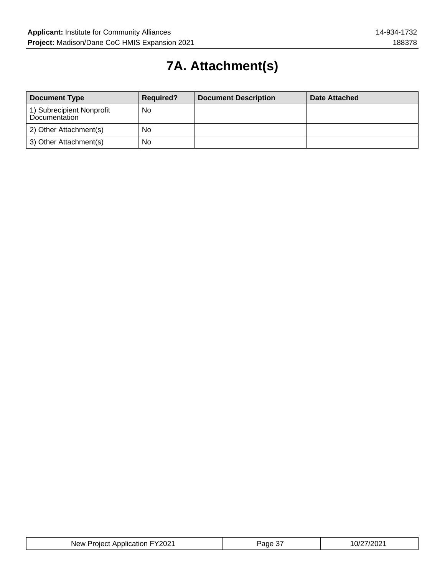# **7A. Attachment(s)**

| <b>Document Type</b>                       | <b>Required?</b> | <b>Document Description</b> | Date Attached |
|--------------------------------------------|------------------|-----------------------------|---------------|
| 1) Subrecipient Nonprofit<br>Documentation | <b>No</b>        |                             |               |
| 2) Other Attachment(s)                     | No               |                             |               |
| 3) Other Attachment(s)                     | No               |                             |               |

| New Project Application FY2021 | Page 37 | 10/27/2021 |
|--------------------------------|---------|------------|
|--------------------------------|---------|------------|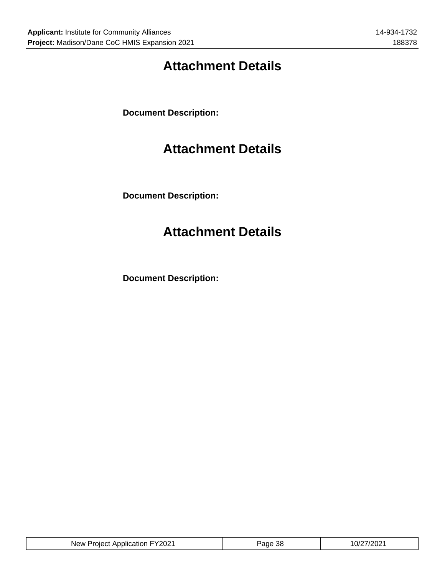## **Attachment Details**

**Document Description:**

## **Attachment Details**

**Document Description:**

## **Attachment Details**

**Document Description:**

| New Project Application FY2021 | <sup>⊃</sup> aɑe 38 | 10/27/2021 |
|--------------------------------|---------------------|------------|
|--------------------------------|---------------------|------------|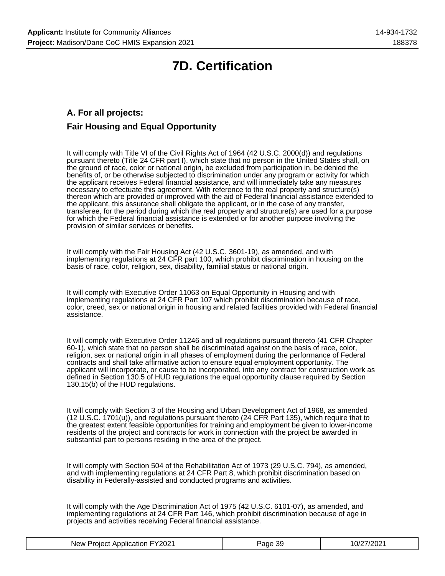## **7D. Certification**

## **A. For all projects: Fair Housing and Equal Opportunity**

It will comply with Title VI of the Civil Rights Act of 1964 (42 U.S.C. 2000(d)) and regulations pursuant thereto (Title 24 CFR part I), which state that no person in the United States shall, on the ground of race, color or national origin, be excluded from participation in, be denied the benefits of, or be otherwise subjected to discrimination under any program or activity for which the applicant receives Federal financial assistance, and will immediately take any measures necessary to effectuate this agreement. With reference to the real property and structure(s) thereon which are provided or improved with the aid of Federal financial assistance extended to the applicant, this assurance shall obligate the applicant, or in the case of any transfer, transferee, for the period during which the real property and structure(s) are used for a purpose for which the Federal financial assistance is extended or for another purpose involving the provision of similar services or benefits.

It will comply with the Fair Housing Act (42 U.S.C. 3601-19), as amended, and with implementing regulations at 24 CFR part 100, which prohibit discrimination in housing on the basis of race, color, religion, sex, disability, familial status or national origin.

It will comply with Executive Order 11063 on Equal Opportunity in Housing and with implementing regulations at 24 CFR Part 107 which prohibit discrimination because of race, color, creed, sex or national origin in housing and related facilities provided with Federal financial assistance.

It will comply with Executive Order 11246 and all regulations pursuant thereto (41 CFR Chapter 60-1), which state that no person shall be discriminated against on the basis of race, color, religion, sex or national origin in all phases of employment during the performance of Federal contracts and shall take affirmative action to ensure equal employment opportunity. The applicant will incorporate, or cause to be incorporated, into any contract for construction work as defined in Section 130.5 of HUD regulations the equal opportunity clause required by Section 130.15(b) of the HUD regulations.

It will comply with Section 3 of the Housing and Urban Development Act of 1968, as amended (12 U.S.C. 1701(u)), and regulations pursuant thereto (24 CFR Part 135), which require that to the greatest extent feasible opportunities for training and employment be given to lower-income residents of the project and contracts for work in connection with the project be awarded in substantial part to persons residing in the area of the project.

It will comply with Section 504 of the Rehabilitation Act of 1973 (29 U.S.C. 794), as amended, and with implementing regulations at 24 CFR Part 8, which prohibit discrimination based on disability in Federally-assisted and conducted programs and activities.

It will comply with the Age Discrimination Act of 1975 (42 U.S.C. 6101-07), as amended, and implementing regulations at 24 CFR Part 146, which prohibit discrimination because of age in projects and activities receiving Federal financial assistance.

| New Project Application FY2021 | Page 39 | 10/27/2021 |
|--------------------------------|---------|------------|
|--------------------------------|---------|------------|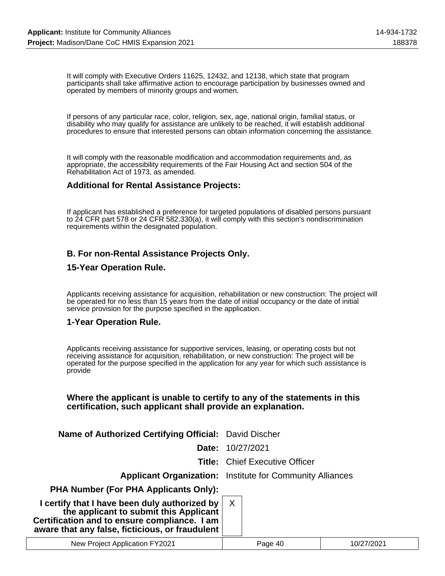It will comply with Executive Orders 11625, 12432, and 12138, which state that program participants shall take affirmative action to encourage participation by businesses owned and operated by members of minority groups and women.

If persons of any particular race, color, religion, sex, age, national origin, familial status, or disability who may qualify for assistance are unlikely to be reached, it will establish additional procedures to ensure that interested persons can obtain information concerning the assistance.

It will comply with the reasonable modification and accommodation requirements and, as appropriate, the accessibility requirements of the Fair Housing Act and section 504 of the Rehabilitation Act of 1973, as amended.

### **Additional for Rental Assistance Projects:**

If applicant has established a preference for targeted populations of disabled persons pursuant to 24 CFR part 578 or 24 CFR 582.330(a), it will comply with this section's nondiscrimination requirements within the designated population.

## **B. For non-Rental Assistance Projects Only.**

### **15-Year Operation Rule.**

Applicants receiving assistance for acquisition, rehabilitation or new construction: The project will be operated for no less than 15 years from the date of initial occupancy or the date of initial service provision for the purpose specified in the application.

### **1-Year Operation Rule.**

Applicants receiving assistance for supportive services, leasing, or operating costs but not receiving assistance for acquisition, rehabilitation, or new construction: The project will be operated for the purpose specified in the application for any year for which such assistance is provide

### **Where the applicant is unable to certify to any of the statements in this certification, such applicant shall provide an explanation.**

**Name of Authorized Certifying Official:** David Discher

**Date:** 10/27/2021

**Title:** Chief Executive Officer

**Applicant Organization:** Institute for Community Alliances

**PHA Number (For PHA Applicants Only):**

| I certify that I have been duly authorized by<br>the applicant to submit this Applicant         | X |  |
|-------------------------------------------------------------------------------------------------|---|--|
| Certification and to ensure compliance. I am<br>aware that any false, ficticious, or fraudulent |   |  |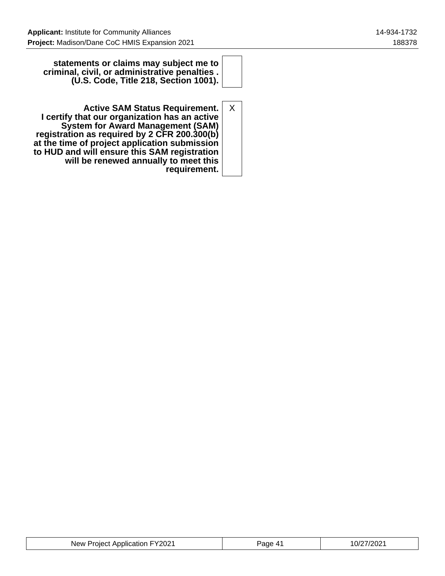**statements or claims may subject me to criminal, civil, or administrative penalties . (U.S. Code, Title 218, Section 1001).**

**Active SAM Status Requirement. I certify that our organization has an active System for Award Management (SAM) registration as required by 2 CFR 200.300(b) at the time of project application submission to HUD and will ensure this SAM registration will be renewed annually to meet this requirement.** X

| New Project Application FY2021 | Page<br><b>A</b> 1 | 10/27/2021 |
|--------------------------------|--------------------|------------|
|--------------------------------|--------------------|------------|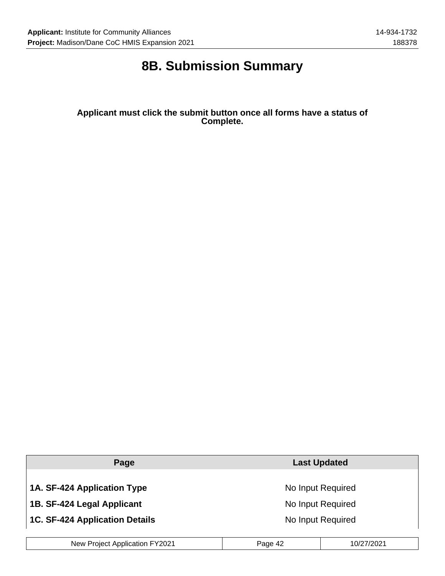## **8B. Submission Summary**

**Applicant must click the submit button once all forms have a status of Complete.**

| No Input Required |  |
|-------------------|--|
| No Input Required |  |
| No Input Required |  |
|                   |  |

| New Project Application FY2021 | Page 42 | 10/27/2021 |
|--------------------------------|---------|------------|
|--------------------------------|---------|------------|